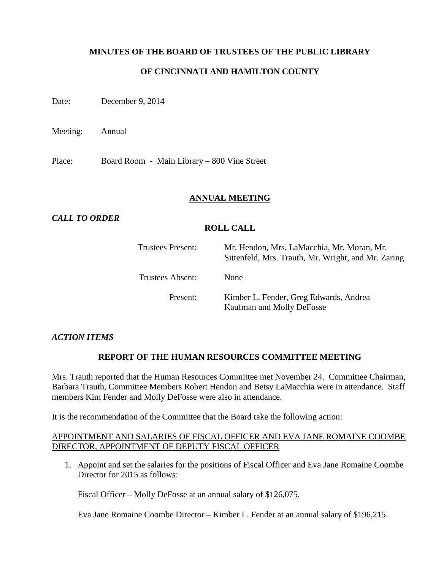# **MINUTES OF THE BOARD OF TRUSTEES OF THE PUBLIC LIBRARY**

# **OF CINCINNATI AND HAMILTON COUNTY**

Date: December 9, 2014

Meeting: Annual

Place: Board Room - Main Library – 800 Vine Street

#### **ANNUAL MEETING**

# *CALL TO ORDER*

#### **ROLL CALL**

| <b>Trustees Present:</b> | Mr. Hendon, Mrs. LaMacchia, Mr. Moran, Mr.<br>Sittenfeld, Mrs. Trauth, Mr. Wright, and Mr. Zaring |
|--------------------------|---------------------------------------------------------------------------------------------------|
| Trustees Absent:         | None                                                                                              |
| Present:                 | Kimber L. Fender, Greg Edwards, Andrea<br>Kaufman and Molly DeFosse                               |

#### *ACTION ITEMS*

# **REPORT OF THE HUMAN RESOURCES COMMITTEE MEETING**

Mrs. Trauth reported that the Human Resources Committee met November 24. Committee Chairman, Barbara Trauth, Committee Members Robert Hendon and Betsy LaMacchia were in attendance. Staff members Kim Fender and Molly DeFosse were also in attendance.

It is the recommendation of the Committee that the Board take the following action:

#### APPOINTMENT AND SALARIES OF FISCAL OFFICER AND EVA JANE ROMAINE COOMBE DIRECTOR, APPOINTMENT OF DEPUTY FISCAL OFFICER

1. Appoint and set the salaries for the positions of Fiscal Officer and Eva Jane Romaine Coombe Director for 2015 as follows:

Fiscal Officer – Molly DeFosse at an annual salary of \$126,075.

Eva Jane Romaine Coombe Director – Kimber L. Fender at an annual salary of \$196,215.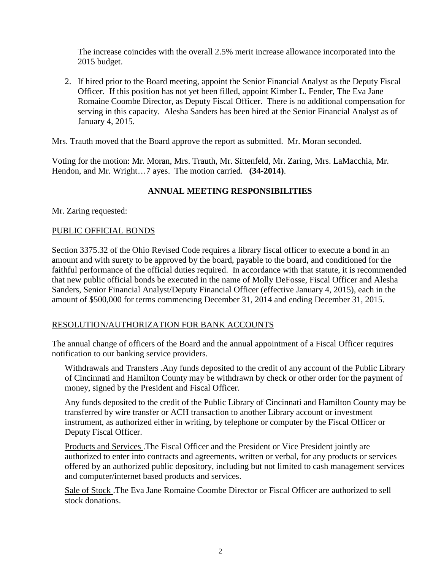The increase coincides with the overall 2.5% merit increase allowance incorporated into the 2015 budget.

2. If hired prior to the Board meeting, appoint the Senior Financial Analyst as the Deputy Fiscal Officer. If this position has not yet been filled, appoint Kimber L. Fender, The Eva Jane Romaine Coombe Director, as Deputy Fiscal Officer. There is no additional compensation for serving in this capacity. Alesha Sanders has been hired at the Senior Financial Analyst as of January 4, 2015.

Mrs. Trauth moved that the Board approve the report as submitted. Mr. Moran seconded.

Voting for the motion: Mr. Moran, Mrs. Trauth, Mr. Sittenfeld, Mr. Zaring, Mrs. LaMacchia, Mr. Hendon, and Mr. Wright…7 ayes. The motion carried. **(34-2014)**.

# **ANNUAL MEETING RESPONSIBILITIES**

Mr. Zaring requested:

#### PUBLIC OFFICIAL BONDS

Section 3375.32 of the Ohio Revised Code requires a library fiscal officer to execute a bond in an amount and with surety to be approved by the board, payable to the board, and conditioned for the faithful performance of the official duties required. In accordance with that statute, it is recommended that new public official bonds be executed in the name of Molly DeFosse, Fiscal Officer and Alesha Sanders, Senior Financial Analyst/Deputy Financial Officer (effective January 4, 2015), each in the amount of \$500,000 for terms commencing December 31, 2014 and ending December 31, 2015.

# RESOLUTION/AUTHORIZATION FOR BANK ACCOUNTS

The annual change of officers of the Board and the annual appointment of a Fiscal Officer requires notification to our banking service providers.

Withdrawals and Transfers .Any funds deposited to the credit of any account of the Public Library of Cincinnati and Hamilton County may be withdrawn by check or other order for the payment of money, signed by the President and Fiscal Officer.

Any funds deposited to the credit of the Public Library of Cincinnati and Hamilton County may be transferred by wire transfer or ACH transaction to another Library account or investment instrument, as authorized either in writing, by telephone or computer by the Fiscal Officer or Deputy Fiscal Officer.

Products and Services .The Fiscal Officer and the President or Vice President jointly are authorized to enter into contracts and agreements, written or verbal, for any products or services offered by an authorized public depository, including but not limited to cash management services and computer/internet based products and services.

Sale of Stock .The Eva Jane Romaine Coombe Director or Fiscal Officer are authorized to sell stock donations.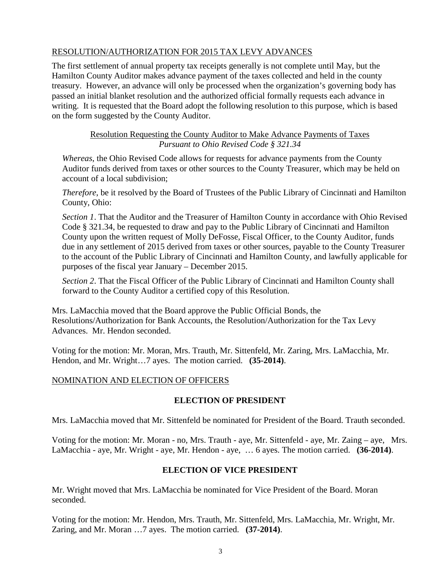# RESOLUTION/AUTHORIZATION FOR 2015 TAX LEVY ADVANCES

The first settlement of annual property tax receipts generally is not complete until May, but the Hamilton County Auditor makes advance payment of the taxes collected and held in the county treasury. However, an advance will only be processed when the organization's governing body has passed an initial blanket resolution and the authorized official formally requests each advance in writing. It is requested that the Board adopt the following resolution to this purpose, which is based on the form suggested by the County Auditor.

# Resolution Requesting the County Auditor to Make Advance Payments of Taxes *Pursuant to Ohio Revised Code § 321.34*

*Whereas*, the Ohio Revised Code allows for requests for advance payments from the County Auditor funds derived from taxes or other sources to the County Treasurer, which may be held on account of a local subdivision;

*Therefore*, be it resolved by the Board of Trustees of the Public Library of Cincinnati and Hamilton County, Ohio:

*Section 1*. That the Auditor and the Treasurer of Hamilton County in accordance with Ohio Revised Code § 321.34, be requested to draw and pay to the Public Library of Cincinnati and Hamilton County upon the written request of Molly DeFosse, Fiscal Officer, to the County Auditor, funds due in any settlement of 2015 derived from taxes or other sources, payable to the County Treasurer to the account of the Public Library of Cincinnati and Hamilton County, and lawfully applicable for purposes of the fiscal year January – December 2015.

*Section 2*. That the Fiscal Officer of the Public Library of Cincinnati and Hamilton County shall forward to the County Auditor a certified copy of this Resolution.

Mrs. LaMacchia moved that the Board approve the Public Official Bonds, the Resolutions/Authorization for Bank Accounts, the Resolution/Authorization for the Tax Levy Advances. Mr. Hendon seconded.

Voting for the motion: Mr. Moran, Mrs. Trauth, Mr. Sittenfeld, Mr. Zaring, Mrs. LaMacchia, Mr. Hendon, and Mr. Wright…7 ayes. The motion carried. **(35-2014)**.

# NOMINATION AND ELECTION OF OFFICERS

# **ELECTION OF PRESIDENT**

Mrs. LaMacchia moved that Mr. Sittenfeld be nominated for President of the Board. Trauth seconded.

Voting for the motion: Mr. Moran - no, Mrs. Trauth - aye, Mr. Sittenfeld - aye, Mr. Zaing – aye, Mrs. LaMacchia - aye, Mr. Wright - aye, Mr. Hendon - aye, … 6 ayes. The motion carried. **(36-2014)**.

# **ELECTION OF VICE PRESIDENT**

Mr. Wright moved that Mrs. LaMacchia be nominated for Vice President of the Board. Moran seconded.

Voting for the motion: Mr. Hendon, Mrs. Trauth, Mr. Sittenfeld, Mrs. LaMacchia, Mr. Wright, Mr. Zaring, and Mr. Moran …7 ayes. The motion carried. **(37-2014)**.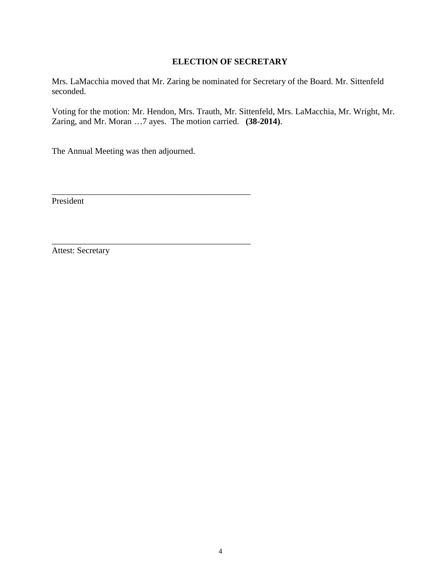#### **ELECTION OF SECRETARY**

Mrs. LaMacchia moved that Mr. Zaring be nominated for Secretary of the Board. Mr. Sittenfeld seconded.

Voting for the motion: Mr. Hendon, Mrs. Trauth, Mr. Sittenfeld, Mrs. LaMacchia, Mr. Wright, Mr. Zaring, and Mr. Moran …7 ayes. The motion carried. **(38-2014)**.

The Annual Meeting was then adjourned.

\_\_\_\_\_\_\_\_\_\_\_\_\_\_\_\_\_\_\_\_\_\_\_\_\_\_\_\_\_\_\_\_\_\_\_\_\_\_\_\_\_\_\_\_\_\_

\_\_\_\_\_\_\_\_\_\_\_\_\_\_\_\_\_\_\_\_\_\_\_\_\_\_\_\_\_\_\_\_\_\_\_\_\_\_\_\_\_\_\_\_\_\_

President

Attest: Secretary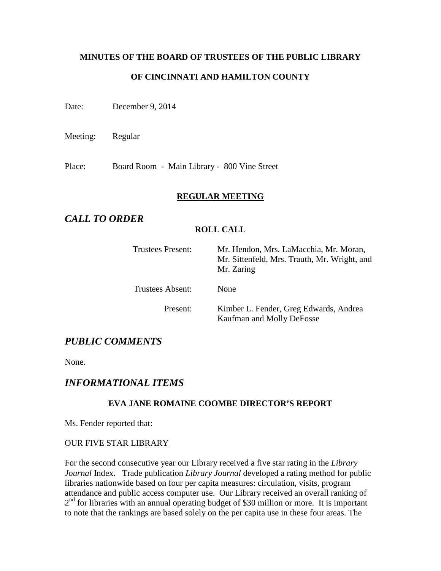# **MINUTES OF THE BOARD OF TRUSTEES OF THE PUBLIC LIBRARY OF CINCINNATI AND HAMILTON COUNTY**

Date: December 9, 2014

Meeting: Regular

Place: Board Room - Main Library - 800 Vine Street

#### **REGULAR MEETING**

# *CALL TO ORDER*

#### **ROLL CALL**

| Trustees Present: | Mr. Hendon, Mrs. LaMacchia, Mr. Moran,<br>Mr. Sittenfeld, Mrs. Trauth, Mr. Wright, and<br>Mr. Zaring |
|-------------------|------------------------------------------------------------------------------------------------------|
| Trustees Absent:  | None                                                                                                 |
| Present:          | Kimber L. Fender, Greg Edwards, Andrea<br>Kaufman and Molly DeFosse                                  |

# *PUBLIC COMMENTS*

None.

# *INFORMATIONAL ITEMS*

#### **EVA JANE ROMAINE COOMBE DIRECTOR'S REPORT**

Ms. Fender reported that:

#### OUR FIVE STAR LIBRARY

For the second consecutive year our Library received a five star rating in the *Library Journal* Index. Trade publication *Library Journal* developed a rating method for public libraries nationwide based on four per capita measures: circulation, visits, program attendance and public access computer use. Our Library received an overall ranking of  $2<sup>nd</sup>$  for libraries with an annual operating budget of \$30 million or more. It is important to note that the rankings are based solely on the per capita use in these four areas. The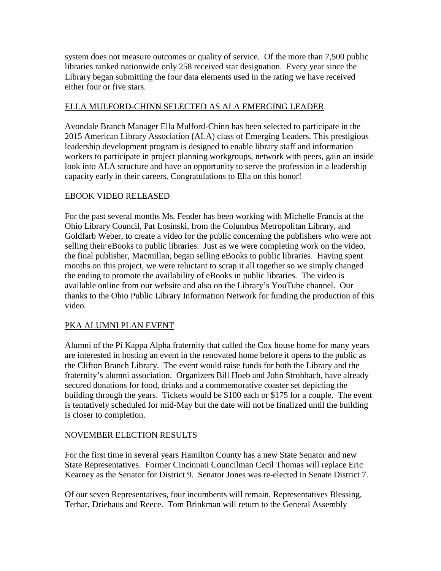system does not measure outcomes or quality of service. Of the more than 7,500 public libraries ranked nationwide only 258 received star designation. Every year since the Library began submitting the four data elements used in the rating we have received either four or five stars.

# ELLA MULFORD-CHINN SELECTED AS ALA EMERGING LEADER

Avondale Branch Manager Ella Mulford-Chinn has been selected to participate in the 2015 American Library Association (ALA) class of Emerging Leaders. This prestigious leadership development program is designed to enable library staff and information workers to participate in project planning workgroups, network with peers, gain an inside look into ALA structure and have an opportunity to serve the profession in a leadership capacity early in their careers. Congratulations to Ella on this honor!

# EBOOK VIDEO RELEASED

For the past several months Ms. Fender has been working with Michelle Francis at the Ohio Library Council, Pat Losinski, from the Columbus Metropolitan Library, and Goldfarb Weber, to create a video for the public concerning the publishers who were not selling their eBooks to public libraries. Just as we were completing work on the video, the final publisher, Macmillan, began selling eBooks to public libraries. Having spent months on this project, we were reluctant to scrap it all together so we simply changed the ending to promote the availability of eBooks in public libraries. The video is available online from our website and also on the Library's YouTube channel. Our thanks to the Ohio Public Library Information Network for funding the production of this video.

# PKA ALUMNI PLAN EVENT

Alumni of the Pi Kappa Alpha fraternity that called the Cox house home for many years are interested in hosting an event in the renovated home before it opens to the public as the Clifton Branch Library. The event would raise funds for both the Library and the fraternity's alumni association. Organizers Bill Hoeb and John Strohbach, have already secured donations for food, drinks and a commemorative coaster set depicting the building through the years. Tickets would be \$100 each or \$175 for a couple. The event is tentatively scheduled for mid-May but the date will not be finalized until the building is closer to completion.

# NOVEMBER ELECTION RESULTS

For the first time in several years Hamilton County has a new State Senator and new State Representatives. Former Cincinnati Councilman Cecil Thomas will replace Eric Kearney as the Senator for District 9. Senator Jones was re-elected in Senate District 7.

Of our seven Representatives, four incumbents will remain, Representatives Blessing, Terhar, Driehaus and Reece. Tom Brinkman will return to the General Assembly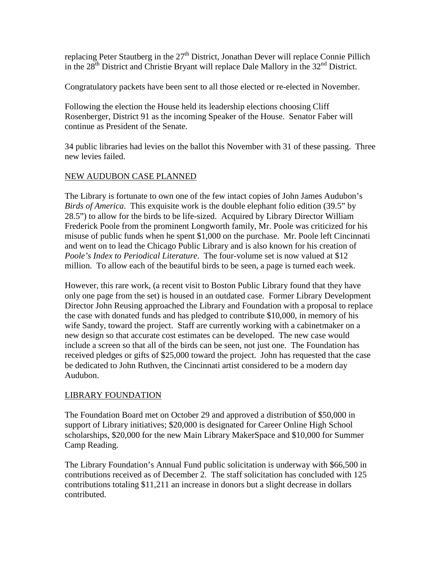replacing Peter Stautberg in the  $27<sup>th</sup>$  District, Jonathan Dever will replace Connie Pillich in the  $28<sup>th</sup>$  District and Christie Bryant will replace Dale Mallory in the  $32<sup>nd</sup>$  District.

Congratulatory packets have been sent to all those elected or re-elected in November.

Following the election the House held its leadership elections choosing Cliff Rosenberger, District 91 as the incoming Speaker of the House. Senator Faber will continue as President of the Senate.

34 public libraries had levies on the ballot this November with 31 of these passing. Three new levies failed.

# NEW AUDUBON CASE PLANNED

The Library is fortunate to own one of the few intact copies of John James Audubon's *Birds of America*. This exquisite work is the double elephant folio edition (39.5" by 28.5") to allow for the birds to be life-sized. Acquired by Library Director William Frederick Poole from the prominent Longworth family, Mr. Poole was criticized for his misuse of public funds when he spent \$1,000 on the purchase. Mr. Poole left Cincinnati and went on to lead the Chicago Public Library and is also known for his creation of *Poole's Index to Periodical Literature*. The four-volume set is now valued at \$12 million. To allow each of the beautiful birds to be seen, a page is turned each week.

However, this rare work, (a recent visit to Boston Public Library found that they have only one page from the set) is housed in an outdated case. Former Library Development Director John Reusing approached the Library and Foundation with a proposal to replace the case with donated funds and has pledged to contribute \$10,000, in memory of his wife Sandy, toward the project. Staff are currently working with a cabinetmaker on a new design so that accurate cost estimates can be developed. The new case would include a screen so that all of the birds can be seen, not just one. The Foundation has received pledges or gifts of \$25,000 toward the project. John has requested that the case be dedicated to John Ruthven, the Cincinnati artist considered to be a modern day Audubon.

# LIBRARY FOUNDATION

The Foundation Board met on October 29 and approved a distribution of \$50,000 in support of Library initiatives; \$20,000 is designated for Career Online High School scholarships, \$20,000 for the new Main Library MakerSpace and \$10,000 for Summer Camp Reading.

The Library Foundation's Annual Fund public solicitation is underway with \$66,500 in contributions received as of December 2. The staff solicitation has concluded with 125 contributions totaling \$11,211 an increase in donors but a slight decrease in dollars contributed.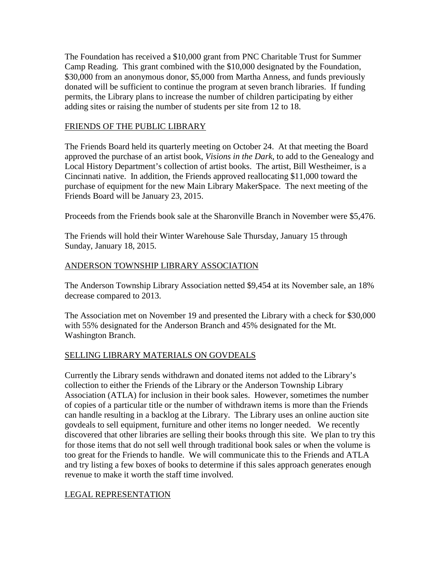The Foundation has received a \$10,000 grant from PNC Charitable Trust for Summer Camp Reading. This grant combined with the \$10,000 designated by the Foundation, \$30,000 from an anonymous donor, \$5,000 from Martha Anness, and funds previously donated will be sufficient to continue the program at seven branch libraries. If funding permits, the Library plans to increase the number of children participating by either adding sites or raising the number of students per site from 12 to 18.

#### FRIENDS OF THE PUBLIC LIBRARY

The Friends Board held its quarterly meeting on October 24. At that meeting the Board approved the purchase of an artist book, *Visions in the Dark*, to add to the Genealogy and Local History Department's collection of artist books. The artist, Bill Westheimer, is a Cincinnati native. In addition, the Friends approved reallocating \$11,000 toward the purchase of equipment for the new Main Library MakerSpace. The next meeting of the Friends Board will be January 23, 2015.

Proceeds from the Friends book sale at the Sharonville Branch in November were \$5,476.

The Friends will hold their Winter Warehouse Sale Thursday, January 15 through Sunday, January 18, 2015.

#### ANDERSON TOWNSHIP LIBRARY ASSOCIATION

The Anderson Township Library Association netted \$9,454 at its November sale, an 18% decrease compared to 2013.

The Association met on November 19 and presented the Library with a check for \$30,000 with 55% designated for the Anderson Branch and 45% designated for the Mt. Washington Branch.

# SELLING LIBRARY MATERIALS ON GOVDEALS

Currently the Library sends withdrawn and donated items not added to the Library's collection to either the Friends of the Library or the Anderson Township Library Association (ATLA) for inclusion in their book sales. However, sometimes the number of copies of a particular title or the number of withdrawn items is more than the Friends can handle resulting in a backlog at the Library. The Library uses an online auction site govdeals to sell equipment, furniture and other items no longer needed. We recently discovered that other libraries are selling their books through this site. We plan to try this for those items that do not sell well through traditional book sales or when the volume is too great for the Friends to handle. We will communicate this to the Friends and ATLA and try listing a few boxes of books to determine if this sales approach generates enough revenue to make it worth the staff time involved.

# LEGAL REPRESENTATION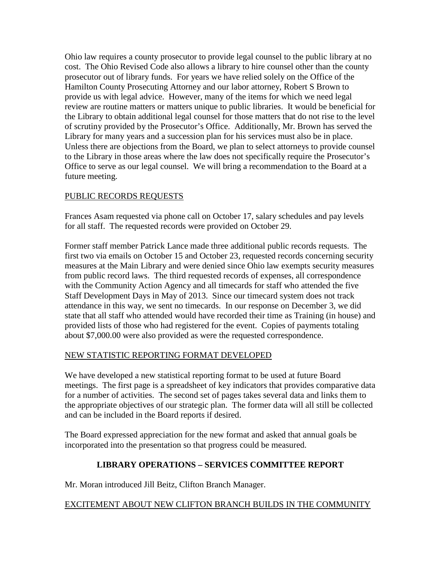Ohio law requires a county prosecutor to provide legal counsel to the public library at no cost. The Ohio Revised Code also allows a library to hire counsel other than the county prosecutor out of library funds. For years we have relied solely on the Office of the Hamilton County Prosecuting Attorney and our labor attorney, Robert S Brown to provide us with legal advice. However, many of the items for which we need legal review are routine matters or matters unique to public libraries. It would be beneficial for the Library to obtain additional legal counsel for those matters that do not rise to the level of scrutiny provided by the Prosecutor's Office. Additionally, Mr. Brown has served the Library for many years and a succession plan for his services must also be in place. Unless there are objections from the Board, we plan to select attorneys to provide counsel to the Library in those areas where the law does not specifically require the Prosecutor's Office to serve as our legal counsel. We will bring a recommendation to the Board at a future meeting.

# PUBLIC RECORDS REQUESTS

Frances Asam requested via phone call on October 17, salary schedules and pay levels for all staff. The requested records were provided on October 29.

Former staff member Patrick Lance made three additional public records requests. The first two via emails on October 15 and October 23, requested records concerning security measures at the Main Library and were denied since Ohio law exempts security measures from public record laws. The third requested records of expenses, all correspondence with the Community Action Agency and all timecards for staff who attended the five Staff Development Days in May of 2013. Since our timecard system does not track attendance in this way, we sent no timecards. In our response on December 3, we did state that all staff who attended would have recorded their time as Training (in house) and provided lists of those who had registered for the event. Copies of payments totaling about \$7,000.00 were also provided as were the requested correspondence.

# NEW STATISTIC REPORTING FORMAT DEVELOPED

We have developed a new statistical reporting format to be used at future Board meetings. The first page is a spreadsheet of key indicators that provides comparative data for a number of activities. The second set of pages takes several data and links them to the appropriate objectives of our strategic plan. The former data will all still be collected and can be included in the Board reports if desired.

The Board expressed appreciation for the new format and asked that annual goals be incorporated into the presentation so that progress could be measured.

# **LIBRARY OPERATIONS – SERVICES COMMITTEE REPORT**

Mr. Moran introduced Jill Beitz, Clifton Branch Manager.

# EXCITEMENT ABOUT NEW CLIFTON BRANCH BUILDS IN THE COMMUNITY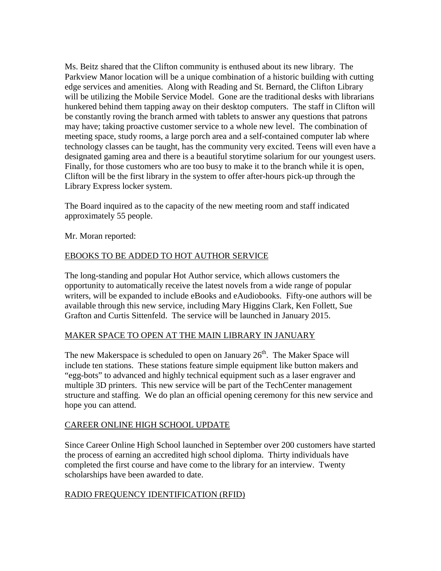Ms. Beitz shared that the Clifton community is enthused about its new library. The Parkview Manor location will be a unique combination of a historic building with cutting edge services and amenities. Along with Reading and St. Bernard, the Clifton Library will be utilizing the Mobile Service Model. Gone are the traditional desks with librarians hunkered behind them tapping away on their desktop computers. The staff in Clifton will be constantly roving the branch armed with tablets to answer any questions that patrons may have; taking proactive customer service to a whole new level. The combination of meeting space, study rooms, a large porch area and a self-contained computer lab where technology classes can be taught, has the community very excited. Teens will even have a designated gaming area and there is a beautiful storytime solarium for our youngest users. Finally, for those customers who are too busy to make it to the branch while it is open, Clifton will be the first library in the system to offer after-hours pick-up through the Library Express locker system.

The Board inquired as to the capacity of the new meeting room and staff indicated approximately 55 people.

Mr. Moran reported:

# EBOOKS TO BE ADDED TO HOT AUTHOR SERVICE

The long-standing and popular Hot Author service, which allows customers the opportunity to automatically receive the latest novels from a wide range of popular writers, will be expanded to include eBooks and eAudiobooks. Fifty-one authors will be available through this new service, including Mary Higgins Clark, Ken Follett, Sue Grafton and Curtis Sittenfeld. The service will be launched in January 2015.

# MAKER SPACE TO OPEN AT THE MAIN LIBRARY IN JANUARY

The new Makerspace is scheduled to open on January  $26<sup>th</sup>$ . The Maker Space will include ten stations. These stations feature simple equipment like button makers and "egg-bots" to advanced and highly technical equipment such as a laser engraver and multiple 3D printers. This new service will be part of the TechCenter management structure and staffing. We do plan an official opening ceremony for this new service and hope you can attend.

# CAREER ONLINE HIGH SCHOOL UPDATE

Since Career Online High School launched in September over 200 customers have started the process of earning an accredited high school diploma. Thirty individuals have completed the first course and have come to the library for an interview. Twenty scholarships have been awarded to date.

# RADIO FREQUENCY IDENTIFICATION (RFID)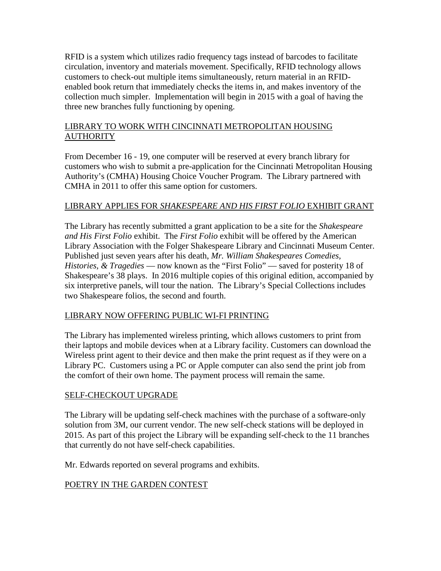RFID is a system which utilizes radio frequency tags instead of barcodes to facilitate circulation, inventory and materials movement. Specifically, RFID technology allows customers to check-out multiple items simultaneously, return material in an RFIDenabled book return that immediately checks the items in, and makes inventory of the collection much simpler. Implementation will begin in 2015 with a goal of having the three new branches fully functioning by opening.

# LIBRARY TO WORK WITH CINCINNATI METROPOLITAN HOUSING **AUTHORITY**

From December 16 - 19, one computer will be reserved at every branch library for customers who wish to submit a pre-application for the Cincinnati Metropolitan Housing Authority's (CMHA) Housing Choice Voucher Program. The Library partnered with CMHA in 2011 to offer this same option for customers.

# LIBRARY APPLIES FOR *SHAKESPEARE AND HIS FIRST FOLIO* EXHIBIT GRANT

The Library has recently submitted a grant application to be a site for the *Shakespeare and His First Folio* exhibit. The *First Folio* exhibit will be offered by the American Library Association with the Folger Shakespeare Library and Cincinnati Museum Center. Published just seven years after his death, *Mr. William Shakespeares Comedies, Histories, & Tragedies* — now known as the "First Folio" — saved for posterity 18 of Shakespeare's 38 plays. In 2016 multiple copies of this original edition, accompanied by six interpretive panels, will tour the nation. The Library's Special Collections includes two Shakespeare folios, the second and fourth.

# LIBRARY NOW OFFERING PUBLIC WI-FI PRINTING

The Library has implemented wireless printing, which allows customers to print from their laptops and mobile devices when at a Library facility. Customers can download the Wireless print agent to their device and then make the print request as if they were on a Library PC. Customers using a PC or Apple computer can also send the print job from the comfort of their own home. The payment process will remain the same.

# SELF-CHECKOUT UPGRADE

The Library will be updating self-check machines with the purchase of a software-only solution from 3M, our current vendor. The new self-check stations will be deployed in 2015. As part of this project the Library will be expanding self-check to the 11 branches that currently do not have self-check capabilities.

Mr. Edwards reported on several programs and exhibits.

# POETRY IN THE GARDEN CONTEST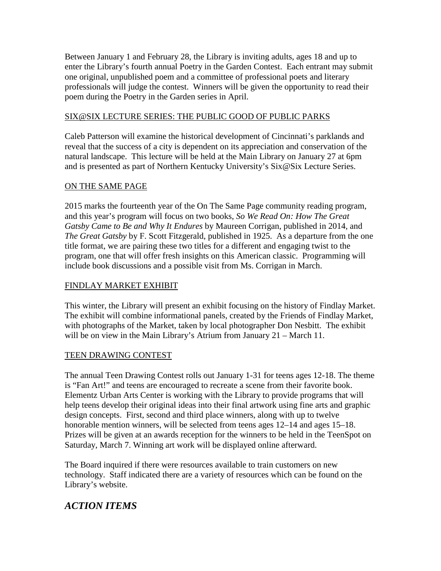Between January 1 and February 28, the Library is inviting adults, ages 18 and up to enter the Library's fourth annual Poetry in the Garden Contest. Each entrant may submit one original, unpublished poem and a committee of professional poets and literary professionals will judge the contest. Winners will be given the opportunity to read their poem during the Poetry in the Garden series in April.

#### SIX@SIX LECTURE SERIES: THE PUBLIC GOOD OF PUBLIC PARKS

Caleb Patterson will examine the historical development of Cincinnati's parklands and reveal that the success of a city is dependent on its appreciation and conservation of the natural landscape. This lecture will be held at the Main Library on January 27 at 6pm and is presented as part of Northern Kentucky University's Six@Six Lecture Series.

#### ON THE SAME PAGE

2015 marks the fourteenth year of the On The Same Page community reading program, and this year's program will focus on two books, *So We Read On: How The Great Gatsby Came to Be and Why It Endures* by Maureen Corrigan, published in 2014, and *The Great Gatsby* by F. Scott Fitzgerald, published in 1925. As a departure from the one title format, we are pairing these two titles for a different and engaging twist to the program, one that will offer fresh insights on this American classic.Programming will include book discussions and a possible visit from Ms. Corrigan in March.

#### FINDLAY MARKET EXHIBIT

This winter, the Library will present an exhibit focusing on the history of Findlay Market. The exhibit will combine informational panels, created by the Friends of Findlay Market, with photographs of the Market, taken by local photographer Don Nesbitt. The exhibit will be on view in the Main Library's Atrium from January 21 – March 11.

# TEEN DRAWING CONTEST

The annual Teen Drawing Contest rolls out January 1-31 for teens ages 12-18. The theme is "Fan Art!" and teens are encouraged to recreate a scene from their favorite book. Elementz Urban Arts Center is working with the Library to provide programs that will help teens develop their original ideas into their final artwork using fine arts and graphic design concepts. First, second and third place winners, along with up to twelve honorable mention winners, will be selected from teens ages  $12-14$  and ages  $15-18$ . Prizes will be given at an awards reception for the winners to be held in the TeenSpot on Saturday, March 7. Winning art work will be displayed online afterward.

The Board inquired if there were resources available to train customers on new technology. Staff indicated there are a variety of resources which can be found on the Library's website.

# *ACTION ITEMS*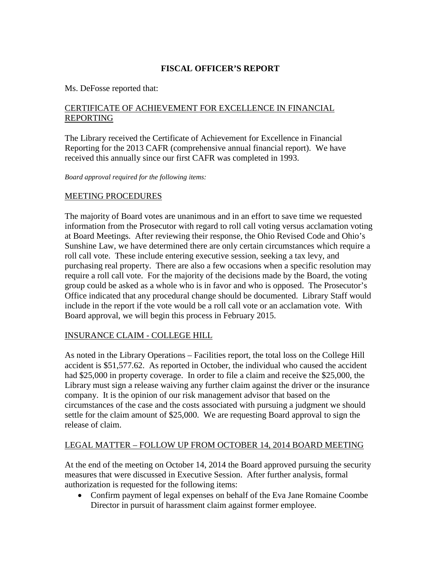# **FISCAL OFFICER'S REPORT**

#### Ms. DeFosse reported that:

# CERTIFICATE OF ACHIEVEMENT FOR EXCELLENCE IN FINANCIAL REPORTING

The Library received the Certificate of Achievement for Excellence in Financial Reporting for the 2013 CAFR (comprehensive annual financial report). We have received this annually since our first CAFR was completed in 1993.

*Board approval required for the following items:*

# MEETING PROCEDURES

The majority of Board votes are unanimous and in an effort to save time we requested information from the Prosecutor with regard to roll call voting versus acclamation voting at Board Meetings. After reviewing their response, the Ohio Revised Code and Ohio's Sunshine Law, we have determined there are only certain circumstances which require a roll call vote. These include entering executive session, seeking a tax levy, and purchasing real property. There are also a few occasions when a specific resolution may require a roll call vote. For the majority of the decisions made by the Board, the voting group could be asked as a whole who is in favor and who is opposed. The Prosecutor's Office indicated that any procedural change should be documented. Library Staff would include in the report if the vote would be a roll call vote or an acclamation vote. With Board approval, we will begin this process in February 2015.

#### INSURANCE CLAIM - COLLEGE HILL

As noted in the Library Operations – Facilities report, the total loss on the College Hill accident is \$51,577.62. As reported in October, the individual who caused the accident had \$25,000 in property coverage. In order to file a claim and receive the \$25,000, the Library must sign a release waiving any further claim against the driver or the insurance company. It is the opinion of our risk management advisor that based on the circumstances of the case and the costs associated with pursuing a judgment we should settle for the claim amount of \$25,000. We are requesting Board approval to sign the release of claim.

# LEGAL MATTER – FOLLOW UP FROM OCTOBER 14, 2014 BOARD MEETING

At the end of the meeting on October 14, 2014 the Board approved pursuing the security measures that were discussed in Executive Session. After further analysis, formal authorization is requested for the following items:

• Confirm payment of legal expenses on behalf of the Eva Jane Romaine Coombe Director in pursuit of harassment claim against former employee.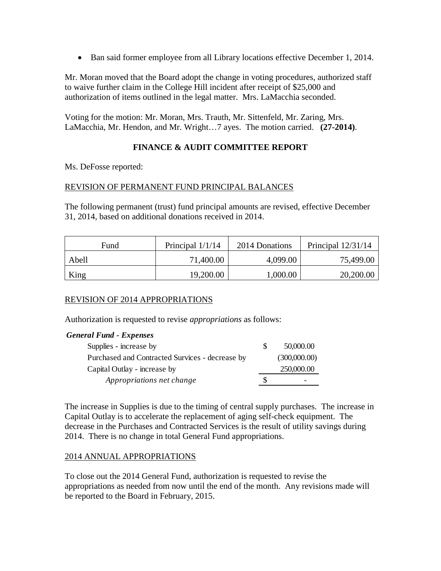• Ban said former employee from all Library locations effective December 1, 2014.

Mr. Moran moved that the Board adopt the change in voting procedures, authorized staff to waive further claim in the College Hill incident after receipt of \$25,000 and authorization of items outlined in the legal matter. Mrs. LaMacchia seconded.

Voting for the motion: Mr. Moran, Mrs. Trauth, Mr. Sittenfeld, Mr. Zaring, Mrs. LaMacchia, Mr. Hendon, and Mr. Wright…7 ayes. The motion carried. **(27-2014)**.

# **FINANCE & AUDIT COMMITTEE REPORT**

Ms. DeFosse reported:

#### REVISION OF PERMANENT FUND PRINCIPAL BALANCES

The following permanent (trust) fund principal amounts are revised, effective December 31, 2014, based on additional donations received in 2014.

| Fund  | Principal $1/1/14$ | 2014 Donations | Principal $12/31/14$ |
|-------|--------------------|----------------|----------------------|
| Abell | 71,400.00          | 4,099.00       | 75,499.00            |
| King  | 19,200.00          | 1,000.00       | 20,200.00            |

# REVISION OF 2014 APPROPRIATIONS

Authorization is requested to revise *appropriations* as follows:

|  |  | <b>General Fund - Expenses</b> |
|--|--|--------------------------------|
|--|--|--------------------------------|

| Supplies - increase by                          | -S | 50,000.00    |
|-------------------------------------------------|----|--------------|
| Purchased and Contracted Survices - decrease by |    | (300,000.00) |
| Capital Outlay - increase by                    |    | 250,000.00   |
| Appropriations net change                       | S  | -            |

The increase in Supplies is due to the timing of central supply purchases. The increase in Capital Outlay is to accelerate the replacement of aging self-check equipment. The decrease in the Purchases and Contracted Services is the result of utility savings during 2014. There is no change in total General Fund appropriations.

#### 2014 ANNUAL APPROPRIATIONS

To close out the 2014 General Fund, authorization is requested to revise the appropriations as needed from now until the end of the month. Any revisions made will be reported to the Board in February, 2015.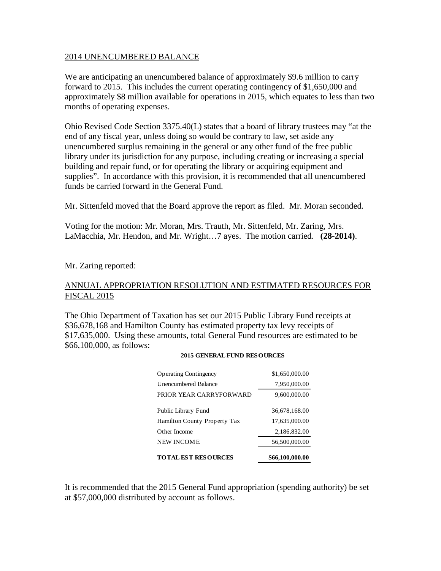#### 2014 UNENCUMBERED BALANCE

We are anticipating an unencumbered balance of approximately \$9.6 million to carry forward to 2015. This includes the current operating contingency of \$1,650,000 and approximately \$8 million available for operations in 2015, which equates to less than two months of operating expenses.

Ohio Revised Code Section 3375.40(L) states that a board of library trustees may "at the end of any fiscal year, unless doing so would be contrary to law, set aside any unencumbered surplus remaining in the general or any other fund of the free public library under its jurisdiction for any purpose, including creating or increasing a special building and repair fund, or for operating the library or acquiring equipment and supplies". In accordance with this provision, it is recommended that all unencumbered funds be carried forward in the General Fund.

Mr. Sittenfeld moved that the Board approve the report as filed. Mr. Moran seconded.

Voting for the motion: Mr. Moran, Mrs. Trauth, Mr. Sittenfeld, Mr. Zaring, Mrs. LaMacchia, Mr. Hendon, and Mr. Wright…7 ayes. The motion carried. **(28-2014)**.

Mr. Zaring reported:

#### ANNUAL APPROPRIATION RESOLUTION AND ESTIMATED RESOURCES FOR FISCAL 2015

The Ohio Department of Taxation has set our 2015 Public Library Fund receipts at \$36,678,168 and Hamilton County has estimated property tax levy receipts of \$17,635,000. Using these amounts, total General Fund resources are estimated to be \$66,100,000, as follows:

| <b>TOTAL EST RESOURCES</b>   | \$66,100,000.00 |
|------------------------------|-----------------|
| NEW INCOME                   | 56,500,000.00   |
| Other Income                 | 2,186,832.00    |
| Hamilton County Property Tax | 17,635,000.00   |
| Public Library Fund          | 36,678,168.00   |
| PRIOR YEAR CARRYFORWARD      | 9,600,000.00    |
| <b>Unencumbered Balance</b>  | 7,950,000.00    |
| <b>Operating Contingency</b> | \$1,650,000.00  |

#### **2015 GENERAL FUND RESOURCES**

It is recommended that the 2015 General Fund appropriation (spending authority) be set at \$57,000,000 distributed by account as follows.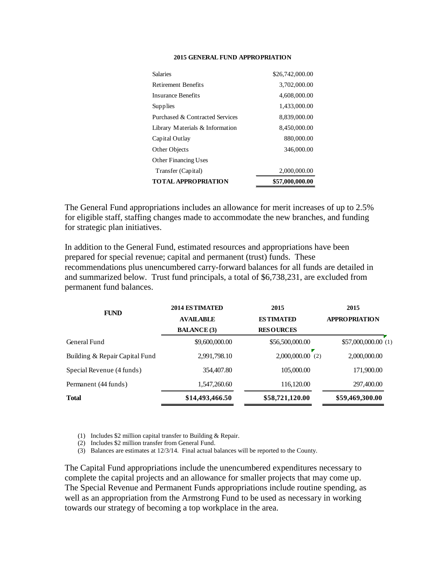#### **2015 GENERAL FUND APPROPRIATION**

| TOTAL APPROPRIATION             | \$57,000,000.00 |
|---------------------------------|-----------------|
| Transfer (Capital)              | 2,000,000.00    |
| <b>Other Financing Uses</b>     |                 |
| Other Objects                   | 346,000.00      |
| Capital Outlay                  | 880,000.00      |
| Library Materials & Information | 8,450,000.00    |
| Purchased & Contracted Services | 8,839,000.00    |
| Supplies                        | 1,433,000.00    |
| Insurance Benefits              | 4,608,000.00    |
| Retirement Benefits             | 3,702,000.00    |
| <b>Salaries</b>                 | \$26,742,000.00 |
|                                 |                 |

The General Fund appropriations includes an allowance for merit increases of up to 2.5% for eligible staff, staffing changes made to accommodate the new branches, and funding for strategic plan initiatives.

In addition to the General Fund, estimated resources and appropriations have been prepared for special revenue; capital and permanent (trust) funds. These recommendations plus unencumbered carry-forward balances for all funds are detailed in and summarized below. Trust fund principals, a total of \$6,738,231, are excluded from permanent fund balances.

| 2015                 |
|----------------------|
| <b>APPROPRIATION</b> |
|                      |
| \$57,000,000.00(1)   |
| 2,000,000.00         |
| 171,900.00           |
| 297,400.00           |
| \$59,469,300.00      |
|                      |

(1) Includes \$2 million capital transfer to Building & Repair.

(2) Includes \$2 million transfer from General Fund.

(3) Balances are estimates at 12/3/14. Final actual balances will be reported to the County.

The Capital Fund appropriations include the unencumbered expenditures necessary to complete the capital projects and an allowance for smaller projects that may come up. The Special Revenue and Permanent Funds appropriations include routine spending, as well as an appropriation from the Armstrong Fund to be used as necessary in working towards our strategy of becoming a top workplace in the area.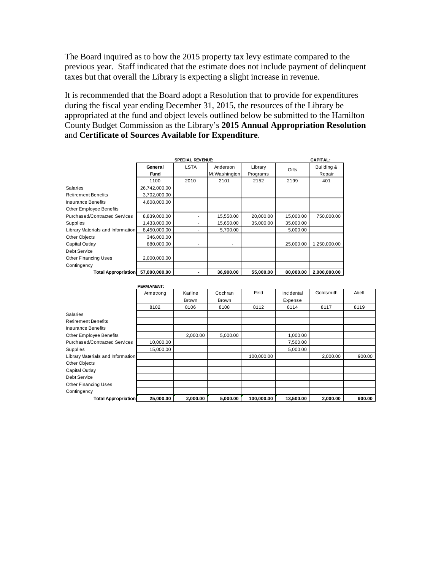The Board inquired as to how the 2015 property tax levy estimate compared to the previous year. Staff indicated that the estimate does not include payment of delinquent taxes but that overall the Library is expecting a slight increase in revenue.

It is recommended that the Board adopt a Resolution that to provide for expenditures during the fiscal year ending December 31, 2015, the resources of the Library be appropriated at the fund and object levels outlined below be submitted to the Hamilton County Budget Commission as the Library's **2015 Annual Appropriation Resolution** and **Certificate of Sources Available for Expenditure**.

|                                   | <b>SPECIAL REVENUE:</b> |             | <b>CAPITAL:</b>          |           |           |              |
|-----------------------------------|-------------------------|-------------|--------------------------|-----------|-----------|--------------|
|                                   | General                 | <b>LSTA</b> | Anderson                 | Library   | Gifts     | Building &   |
|                                   | <b>Fund</b>             |             | Mt Washington            | Programs  |           | Repair       |
|                                   | 1100                    | 2010        | 2101                     | 2152      | 2199      | 401          |
| <b>Salaries</b>                   | 26,742,000.00           |             |                          |           |           |              |
| <b>Retirement Benefits</b>        | 3,702,000.00            |             |                          |           |           |              |
| <b>Insurance Benefits</b>         | 4,608,000.00            |             |                          |           |           |              |
| Other Employee Benefits           |                         |             |                          |           |           |              |
| Purchased/Contracted Services     | 8,839,000.00            |             | 15,550.00                | 20,000.00 | 15,000.00 | 750,000.00   |
| Supplies                          | 1,433,000.00            |             | 15,650.00                | 35,000.00 | 35,000.00 |              |
| Library Materials and Information | 8.450.000.00            |             | 5.700.00                 |           | 5.000.00  |              |
| <b>Other Objects</b>              | 346,000.00              |             |                          |           |           |              |
| Capital Outlay                    | 880.000.00              | ۰           | $\overline{\phantom{a}}$ |           | 25,000.00 | 1,250,000.00 |
| Debt Service                      |                         |             |                          |           |           |              |
| <b>Other Financing Uses</b>       | 2,000,000.00            |             |                          |           |           |              |
| Contingency                       |                         |             |                          |           |           |              |
| <b>Total Appropriation</b>        | 57,000,000.00           |             | 36,900.00                | 55,000.00 | 80,000.00 | 2,000,000.00 |

|                                   | PERMANENT: |          |              |            |            |           |        |
|-----------------------------------|------------|----------|--------------|------------|------------|-----------|--------|
|                                   | Armstrong  | Karline  | Cochran      | Feld       | Incidental | Goldsmith | Abell  |
|                                   |            | Brown    | <b>Brown</b> |            | Expense    |           |        |
|                                   | 8102       | 8106     | 8108         | 8112       | 8114       | 8117      | 8119   |
| <b>Salaries</b>                   |            |          |              |            |            |           |        |
| <b>Retirement Benefits</b>        |            |          |              |            |            |           |        |
| Insurance Benefits                |            |          |              |            |            |           |        |
| Other Employee Benefits           |            | 2,000.00 | 5,000.00     |            | 1,000.00   |           |        |
| Purchased/Contracted Services     | 10,000.00  |          |              |            | 7,500.00   |           |        |
| Supplies                          | 15.000.00  |          |              |            | 5,000.00   |           |        |
| Library Materials and Information |            |          |              | 100,000.00 |            | 2,000.00  | 900.00 |
| Other Objects                     |            |          |              |            |            |           |        |
| Capital Outlay                    |            |          |              |            |            |           |        |
| Debt Service                      |            |          |              |            |            |           |        |
| <b>Other Financing Uses</b>       |            |          |              |            |            |           |        |
| Contingency                       |            |          |              |            |            |           |        |
| <b>Total Appropriation</b>        | 25,000.00  | 2,000.00 | 5,000.00     | 100,000.00 | 13,500.00  | 2.000.00  | 900.00 |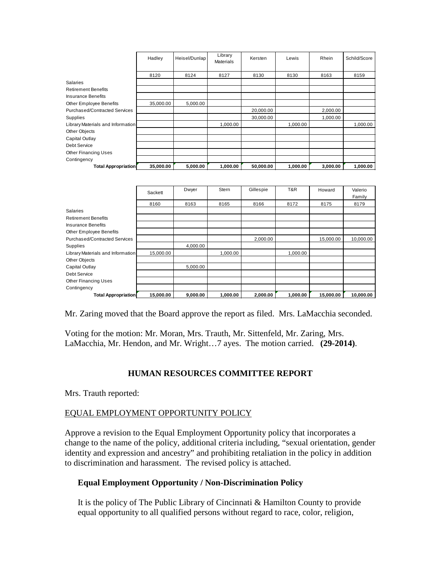|                                   | Hadley    | Heisel/Dunlap | Library<br><b>Materials</b> | Kersten   | Lewis    | Rhein    | Schild/Score |
|-----------------------------------|-----------|---------------|-----------------------------|-----------|----------|----------|--------------|
|                                   | 8120      | 8124          | 8127                        | 8130      | 8130     | 8163     | 8159         |
| Salaries                          |           |               |                             |           |          |          |              |
| <b>Retirement Benefits</b>        |           |               |                             |           |          |          |              |
| Insurance Benefits                |           |               |                             |           |          |          |              |
| Other Employee Benefits           | 35,000.00 | 5.000.00      |                             |           |          |          |              |
| Purchased/Contracted Services     |           |               |                             | 20,000.00 |          | 2,000.00 |              |
| Supplies                          |           |               |                             | 30,000.00 |          | 1,000.00 |              |
| Library Materials and Information |           |               | 1,000.00                    |           | 1,000.00 |          | 1,000.00     |
| Other Objects                     |           |               |                             |           |          |          |              |
| Capital Outlay                    |           |               |                             |           |          |          |              |
| Debt Service                      |           |               |                             |           |          |          |              |
| <b>Other Financing Uses</b>       |           |               |                             |           |          |          |              |
| Contingency                       |           |               |                             |           |          |          |              |
| <b>Total Appropriation</b>        | 35,000.00 | 5,000.00      | 1,000.00                    | 50,000.00 | 1.000.00 | 3.000.00 | 1.000.00     |

|                                   | Sackett   | Dwyer    | <b>Stern</b> | Gillespie | T&R      | Howard    | Valerio   |
|-----------------------------------|-----------|----------|--------------|-----------|----------|-----------|-----------|
|                                   |           |          |              |           |          |           | Family    |
|                                   | 8160      | 8163     | 8165         | 8166      | 8172     | 8175      | 8179      |
| <b>Salaries</b>                   |           |          |              |           |          |           |           |
| <b>Retirement Benefits</b>        |           |          |              |           |          |           |           |
| <b>Insurance Benefits</b>         |           |          |              |           |          |           |           |
| Other Employee Benefits           |           |          |              |           |          |           |           |
| Purchased/Contracted Services     |           |          |              | 2,000.00  |          | 15,000.00 | 10,000.00 |
| Supplies                          |           | 4,000.00 |              |           |          |           |           |
| Library Materials and Information | 15,000.00 |          | 1.000.00     |           | 1,000.00 |           |           |
| Other Objects                     |           |          |              |           |          |           |           |
| Capital Outlay                    |           | 5,000.00 |              |           |          |           |           |
| Debt Service                      |           |          |              |           |          |           |           |
| <b>Other Financing Uses</b>       |           |          |              |           |          |           |           |
| Contingency                       |           |          |              |           |          |           |           |
| <b>Total Appropriation</b>        | 15,000.00 | 9,000.00 | 1,000.00     | 2,000.00  | 1,000.00 | 15,000.00 | 10,000.00 |

Mr. Zaring moved that the Board approve the report as filed. Mrs. LaMacchia seconded.

Voting for the motion: Mr. Moran, Mrs. Trauth, Mr. Sittenfeld, Mr. Zaring, Mrs. LaMacchia, Mr. Hendon, and Mr. Wright…7 ayes. The motion carried. **(29-2014)**.

#### **HUMAN RESOURCES COMMITTEE REPORT**

Mrs. Trauth reported:

#### EQUAL EMPLOYMENT OPPORTUNITY POLICY

Approve a revision to the Equal Employment Opportunity policy that incorporates a change to the name of the policy, additional criteria including, "sexual orientation, gender identity and expression and ancestry" and prohibiting retaliation in the policy in addition to discrimination and harassment. The revised policy is attached.

#### **Equal Employment Opportunity / Non-Discrimination Policy**

It is the policy of The Public Library of Cincinnati & Hamilton County to provide equal opportunity to all qualified persons without regard to race, color, religion,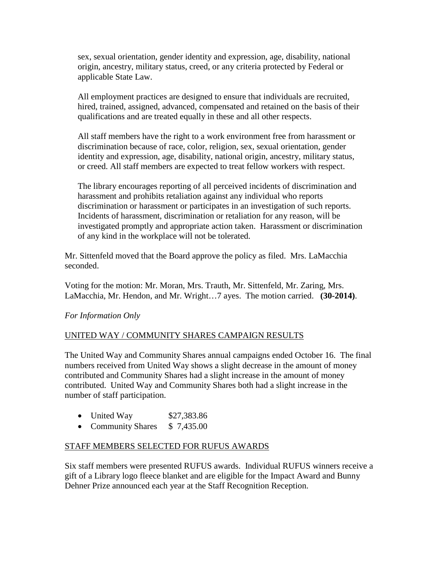sex, sexual orientation, gender identity and expression, age, disability, national origin, ancestry, military status, creed, or any criteria protected by Federal or applicable State Law.

All employment practices are designed to ensure that individuals are recruited, hired, trained, assigned, advanced, compensated and retained on the basis of their qualifications and are treated equally in these and all other respects.

All staff members have the right to a work environment free from harassment or discrimination because of race, color, religion, sex, sexual orientation, gender identity and expression, age, disability, national origin, ancestry, military status, or creed. All staff members are expected to treat fellow workers with respect.

The library encourages reporting of all perceived incidents of discrimination and harassment and prohibits retaliation against any individual who reports discrimination or harassment or participates in an investigation of such reports. Incidents of harassment, discrimination or retaliation for any reason, will be investigated promptly and appropriate action taken. Harassment or discrimination of any kind in the workplace will not be tolerated.

Mr. Sittenfeld moved that the Board approve the policy as filed. Mrs. LaMacchia seconded.

Voting for the motion: Mr. Moran, Mrs. Trauth, Mr. Sittenfeld, Mr. Zaring, Mrs. LaMacchia, Mr. Hendon, and Mr. Wright…7 ayes. The motion carried. **(30-2014)**.

# *For Information Only*

# UNITED WAY / COMMUNITY SHARES CAMPAIGN RESULTS

The United Way and Community Shares annual campaigns ended October 16. The final numbers received from United Way shows a slight decrease in the amount of money contributed and Community Shares had a slight increase in the amount of money contributed. United Way and Community Shares both had a slight increase in the number of staff participation.

- United Way \$27,383.86
- Community Shares \$7,435.00

# STAFF MEMBERS SELECTED FOR RUFUS AWARDS

Six staff members were presented RUFUS awards. Individual RUFUS winners receive a gift of a Library logo fleece blanket and are eligible for the Impact Award and Bunny Dehner Prize announced each year at the Staff Recognition Reception.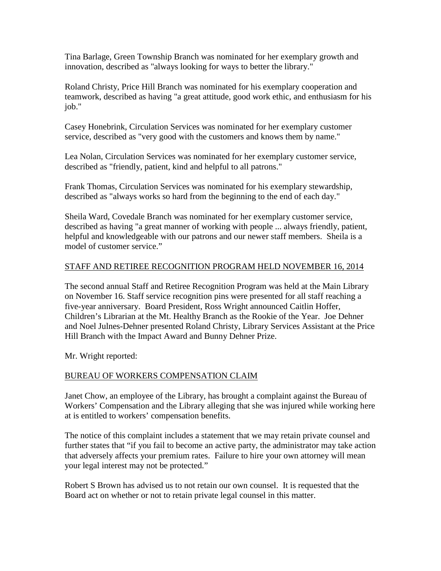Tina Barlage, Green Township Branch was nominated for her exemplary growth and innovation, described as "always looking for ways to better the library."

Roland Christy, Price Hill Branch was nominated for his exemplary cooperation and teamwork, described as having "a great attitude, good work ethic, and enthusiasm for his job."

Casey Honebrink, Circulation Services was nominated for her exemplary customer service, described as "very good with the customers and knows them by name."

Lea Nolan, Circulation Services was nominated for her exemplary customer service, described as "friendly, patient, kind and helpful to all patrons."

Frank Thomas, Circulation Services was nominated for his exemplary stewardship, described as "always works so hard from the beginning to the end of each day."

Sheila Ward, Covedale Branch was nominated for her exemplary customer service, described as having "a great manner of working with people ... always friendly, patient, helpful and knowledgeable with our patrons and our newer staff members. Sheila is a model of customer service."

# STAFF AND RETIREE RECOGNITION PROGRAM HELD NOVEMBER 16, 2014

The second annual Staff and Retiree Recognition Program was held at the Main Library on November 16. Staff service recognition pins were presented for all staff reaching a five-year anniversary. Board President, Ross Wright announced Caitlin Hoffer, Children's Librarian at the Mt. Healthy Branch as the Rookie of the Year. Joe Dehner and Noel Julnes-Dehner presented Roland Christy, Library Services Assistant at the Price Hill Branch with the Impact Award and Bunny Dehner Prize.

Mr. Wright reported:

# BUREAU OF WORKERS COMPENSATION CLAIM

Janet Chow, an employee of the Library, has brought a complaint against the Bureau of Workers' Compensation and the Library alleging that she was injured while working here at is entitled to workers' compensation benefits.

The notice of this complaint includes a statement that we may retain private counsel and further states that "if you fail to become an active party, the administrator may take action that adversely affects your premium rates. Failure to hire your own attorney will mean your legal interest may not be protected."

Robert S Brown has advised us to not retain our own counsel. It is requested that the Board act on whether or not to retain private legal counsel in this matter.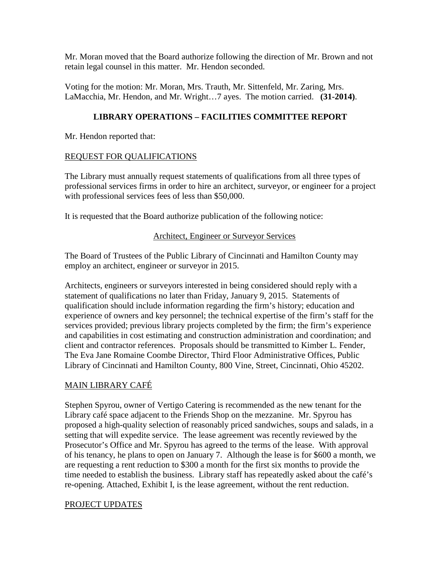Mr. Moran moved that the Board authorize following the direction of Mr. Brown and not retain legal counsel in this matter. Mr. Hendon seconded.

Voting for the motion: Mr. Moran, Mrs. Trauth, Mr. Sittenfeld, Mr. Zaring, Mrs. LaMacchia, Mr. Hendon, and Mr. Wright…7 ayes. The motion carried. **(31-2014)**.

# **LIBRARY OPERATIONS – FACILITIES COMMITTEE REPORT**

Mr. Hendon reported that:

#### REQUEST FOR QUALIFICATIONS

The Library must annually request statements of qualifications from all three types of professional services firms in order to hire an architect, surveyor, or engineer for a project with professional services fees of less than \$50,000.

It is requested that the Board authorize publication of the following notice:

#### Architect, Engineer or Surveyor Services

The Board of Trustees of the Public Library of Cincinnati and Hamilton County may employ an architect, engineer or surveyor in 2015.

Architects, engineers or surveyors interested in being considered should reply with a statement of qualifications no later than Friday, January 9, 2015. Statements of qualification should include information regarding the firm's history; education and experience of owners and key personnel; the technical expertise of the firm's staff for the services provided; previous library projects completed by the firm; the firm's experience and capabilities in cost estimating and construction administration and coordination; and client and contractor references. Proposals should be transmitted to Kimber L. Fender, The Eva Jane Romaine Coombe Director, Third Floor Administrative Offices, Public Library of Cincinnati and Hamilton County, 800 Vine, Street, Cincinnati, Ohio 45202.

# MAIN LIBRARY CAFÉ

Stephen Spyrou, owner of Vertigo Catering is recommended as the new tenant for the Library café space adjacent to the Friends Shop on the mezzanine. Mr. Spyrou has proposed a high-quality selection of reasonably priced sandwiches, soups and salads, in a setting that will expedite service. The lease agreement was recently reviewed by the Prosecutor's Office and Mr. Spyrou has agreed to the terms of the lease. With approval of his tenancy, he plans to open on January 7. Although the lease is for \$600 a month, we are requesting a rent reduction to \$300 a month for the first six months to provide the time needed to establish the business. Library staff has repeatedly asked about the café's re-opening. Attached, Exhibit I, is the lease agreement, without the rent reduction.

# PROJECT UPDATES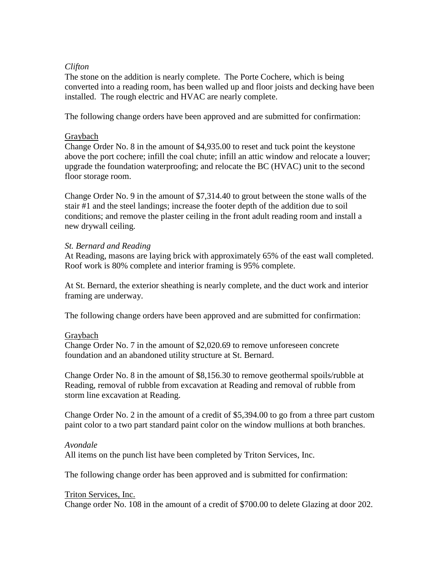#### *Clifton*

The stone on the addition is nearly complete. The Porte Cochere, which is being converted into a reading room, has been walled up and floor joists and decking have been installed. The rough electric and HVAC are nearly complete.

The following change orders have been approved and are submitted for confirmation:

#### Graybach

Change Order No. 8 in the amount of \$4,935.00 to reset and tuck point the keystone above the port cochere; infill the coal chute; infill an attic window and relocate a louver; upgrade the foundation waterproofing; and relocate the BC (HVAC) unit to the second floor storage room.

Change Order No. 9 in the amount of \$7,314.40 to grout between the stone walls of the stair #1 and the steel landings; increase the footer depth of the addition due to soil conditions; and remove the plaster ceiling in the front adult reading room and install a new drywall ceiling.

#### *St. Bernard and Reading*

At Reading, masons are laying brick with approximately 65% of the east wall completed. Roof work is 80% complete and interior framing is 95% complete.

At St. Bernard, the exterior sheathing is nearly complete, and the duct work and interior framing are underway.

The following change orders have been approved and are submitted for confirmation:

#### Graybach

Change Order No. 7 in the amount of \$2,020.69 to remove unforeseen concrete foundation and an abandoned utility structure at St. Bernard.

Change Order No. 8 in the amount of \$8,156.30 to remove geothermal spoils/rubble at Reading, removal of rubble from excavation at Reading and removal of rubble from storm line excavation at Reading.

Change Order No. 2 in the amount of a credit of \$5,394.00 to go from a three part custom paint color to a two part standard paint color on the window mullions at both branches.

#### *Avondale*

All items on the punch list have been completed by Triton Services, Inc.

The following change order has been approved and is submitted for confirmation:

# Triton Services, Inc.

Change order No. 108 in the amount of a credit of \$700.00 to delete Glazing at door 202.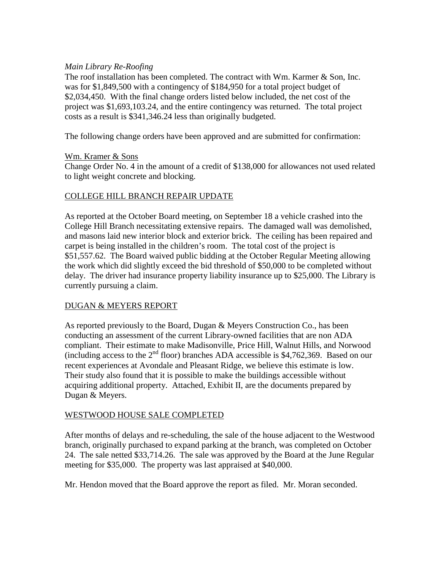#### *Main Library Re-Roofing*

The roof installation has been completed. The contract with Wm. Karmer & Son, Inc. was for \$1,849,500 with a contingency of \$184,950 for a total project budget of \$2,034,450. With the final change orders listed below included, the net cost of the project was \$1,693,103.24, and the entire contingency was returned. The total project costs as a result is \$341,346.24 less than originally budgeted.

The following change orders have been approved and are submitted for confirmation:

#### Wm. Kramer & Sons

Change Order No. 4 in the amount of a credit of \$138,000 for allowances not used related to light weight concrete and blocking.

# COLLEGE HILL BRANCH REPAIR UPDATE

As reported at the October Board meeting, on September 18 a vehicle crashed into the College Hill Branch necessitating extensive repairs. The damaged wall was demolished, and masons laid new interior block and exterior brick. The ceiling has been repaired and carpet is being installed in the children's room. The total cost of the project is \$51,557.62. The Board waived public bidding at the October Regular Meeting allowing the work which did slightly exceed the bid threshold of \$50,000 to be completed without delay. The driver had insurance property liability insurance up to \$25,000. The Library is currently pursuing a claim.

# DUGAN & MEYERS REPORT

As reported previously to the Board, Dugan & Meyers Construction Co., has been conducting an assessment of the current Library-owned facilities that are non ADA compliant. Their estimate to make Madisonville, Price Hill, Walnut Hills, and Norwood (including access to the  $2<sup>nd</sup>$  floor) branches ADA accessible is \$4,762,369. Based on our recent experiences at Avondale and Pleasant Ridge, we believe this estimate is low. Their study also found that it is possible to make the buildings accessible without acquiring additional property. Attached, Exhibit II, are the documents prepared by Dugan & Meyers.

# WESTWOOD HOUSE SALE COMPLETED

After months of delays and re-scheduling, the sale of the house adjacent to the Westwood branch, originally purchased to expand parking at the branch, was completed on October 24. The sale netted \$33,714.26. The sale was approved by the Board at the June Regular meeting for \$35,000. The property was last appraised at \$40,000.

Mr. Hendon moved that the Board approve the report as filed. Mr. Moran seconded.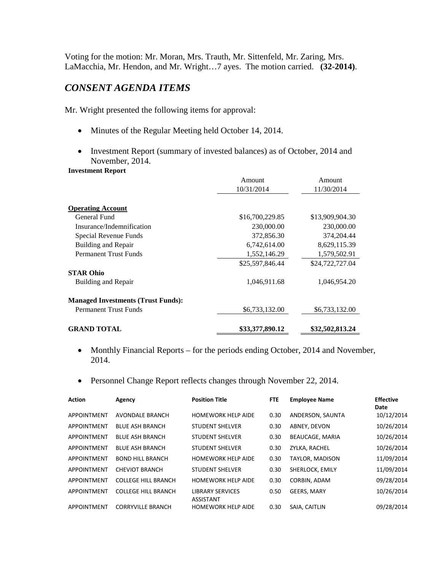Voting for the motion: Mr. Moran, Mrs. Trauth, Mr. Sittenfeld, Mr. Zaring, Mrs. LaMacchia, Mr. Hendon, and Mr. Wright…7 ayes. The motion carried. **(32-2014)**.

# *CONSENT AGENDA ITEMS*

Mr. Wright presented the following items for approval:

- Minutes of the Regular Meeting held October 14, 2014.
- Investment Report (summary of invested balances) as of October, 2014 and November, 2014.

#### **Investment Report**

|                                           | Amount          | Amount<br>11/30/2014 |  |
|-------------------------------------------|-----------------|----------------------|--|
|                                           | 10/31/2014      |                      |  |
|                                           |                 |                      |  |
| <b>Operating Account</b>                  |                 |                      |  |
| General Fund                              | \$16,700,229.85 | \$13,909,904.30      |  |
| Insurance/Indemnification                 | 230,000.00      | 230,000.00           |  |
| Special Revenue Funds                     | 372,856.30      | 374,204.44           |  |
| Building and Repair                       | 6,742,614.00    | 8,629,115.39         |  |
| <b>Permanent Trust Funds</b>              | 1,552,146.29    | 1,579,502.91         |  |
|                                           | \$25,597,846.44 | \$24,722,727.04      |  |
| <b>STAR Ohio</b>                          |                 |                      |  |
| Building and Repair                       | 1,046,911.68    | 1,046,954.20         |  |
| <b>Managed Investments (Trust Funds):</b> |                 |                      |  |
| <b>Permanent Trust Funds</b>              | \$6,733,132.00  | \$6,733,132.00       |  |
| <b>GRAND TOTAL</b>                        | \$33,377,890.12 | \$32,502,813.24      |  |

- Monthly Financial Reports for the periods ending October, 2014 and November, 2014.
- Personnel Change Report reflects changes through November 22, 2014.

| <b>Action</b> | Agency                     | <b>Position Title</b>                       | <b>FTE</b> | <b>Employee Name</b>   | <b>Effective</b><br>Date |
|---------------|----------------------------|---------------------------------------------|------------|------------------------|--------------------------|
| APPOINTMENT   | <b>AVONDALE BRANCH</b>     | <b>HOMEWORK HELP AIDE</b>                   | 0.30       | ANDERSON, SAUNTA       | 10/12/2014               |
| APPOINTMENT   | <b>BLUE ASH BRANCH</b>     | <b>STUDENT SHELVER</b>                      | 0.30       | ABNEY, DEVON           | 10/26/2014               |
| APPOINTMENT   | <b>BLUE ASH BRANCH</b>     | <b>STUDENT SHELVER</b>                      | 0.30       | <b>BEAUCAGE, MARIA</b> | 10/26/2014               |
| APPOINTMENT   | <b>BLUE ASH BRANCH</b>     | <b>STUDENT SHELVER</b>                      | 0.30       | ZYLKA, RACHEL          | 10/26/2014               |
| APPOINTMENT   | <b>BOND HILL BRANCH</b>    | <b>HOMEWORK HELP AIDE</b>                   | 0.30       | TAYLOR, MADISON        | 11/09/2014               |
| APPOINTMENT   | <b>CHEVIOT BRANCH</b>      | <b>STUDENT SHELVER</b>                      | 0.30       | SHERLOCK, EMILY        | 11/09/2014               |
| APPOINTMENT   | <b>COLLEGE HILL BRANCH</b> | <b>HOMEWORK HELP AIDE</b>                   | 0.30       | CORBIN, ADAM           | 09/28/2014               |
| APPOINTMENT   | <b>COLLEGE HILL BRANCH</b> | <b>LIBRARY SERVICES</b><br><b>ASSISTANT</b> | 0.50       | <b>GEERS, MARY</b>     | 10/26/2014               |
| APPOINTMENT   | <b>CORRYVILLE BRANCH</b>   | <b>HOMEWORK HELP AIDE</b>                   | 0.30       | SAIA, CAITLIN          | 09/28/2014               |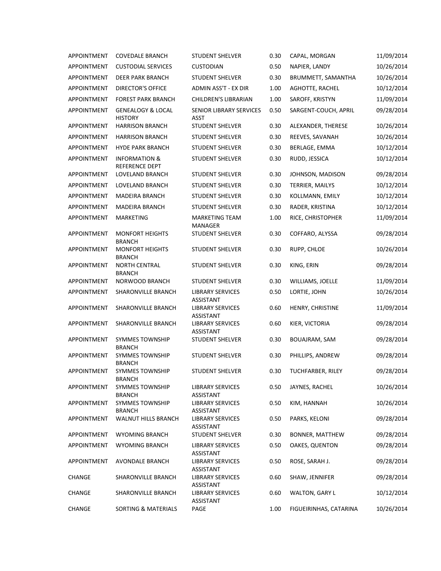| <b>APPOINTMENT</b> | <b>COVEDALE BRANCH</b>                         | <b>STUDENT SHELVER</b>                  | 0.30 | CAPAL, MORGAN            | 11/09/2014 |
|--------------------|------------------------------------------------|-----------------------------------------|------|--------------------------|------------|
| APPOINTMENT        | <b>CUSTODIAL SERVICES</b>                      | <b>CUSTODIAN</b>                        | 0.50 | NAPIER, LANDY            | 10/26/2014 |
| APPOINTMENT        | DEER PARK BRANCH                               | <b>STUDENT SHELVER</b>                  | 0.30 | BRUMMETT, SAMANTHA       | 10/26/2014 |
| APPOINTMENT        | <b>DIRECTOR'S OFFICE</b>                       | ADMIN ASS'T - EX DIR                    | 1.00 | AGHOTTE, RACHEL          | 10/12/2014 |
| <b>APPOINTMENT</b> | <b>FOREST PARK BRANCH</b>                      | CHILDREN'S LIBRARIAN                    | 1.00 | SAROFF, KRISTYN          | 11/09/2014 |
| APPOINTMENT        | <b>GENEALOGY &amp; LOCAL</b><br><b>HISTORY</b> | SENIOR LIBRARY SERVICES<br>ASST         | 0.50 | SARGENT-COUCH, APRIL     | 09/28/2014 |
| APPOINTMENT        | <b>HARRISON BRANCH</b>                         | <b>STUDENT SHELVER</b>                  | 0.30 | ALEXANDER, THERESE       | 10/26/2014 |
| APPOINTMENT        | <b>HARRISON BRANCH</b>                         | <b>STUDENT SHELVER</b>                  | 0.30 | REEVES, SAVANAH          | 10/26/2014 |
| APPOINTMENT        | <b>HYDE PARK BRANCH</b>                        | <b>STUDENT SHELVER</b>                  | 0.30 | BERLAGE, EMMA            | 10/12/2014 |
| APPOINTMENT        | <b>INFORMATION &amp;</b><br>REFERENCE DEPT     | <b>STUDENT SHELVER</b>                  | 0.30 | RUDD, JESSICA            | 10/12/2014 |
| APPOINTMENT        | LOVELAND BRANCH                                | <b>STUDENT SHELVER</b>                  | 0.30 | JOHNSON, MADISON         | 09/28/2014 |
| APPOINTMENT        | LOVELAND BRANCH                                | <b>STUDENT SHELVER</b>                  | 0.30 | <b>TERRIER, MAILYS</b>   | 10/12/2014 |
| <b>APPOINTMENT</b> | <b>MADEIRA BRANCH</b>                          | <b>STUDENT SHELVER</b>                  | 0.30 | KOLLMANN, EMILY          | 10/12/2014 |
| APPOINTMENT        | <b>MADEIRA BRANCH</b>                          | <b>STUDENT SHELVER</b>                  | 0.30 | RADER, KRISTINA          | 10/12/2014 |
| APPOINTMENT        | <b>MARKETING</b>                               | <b>MARKETING TEAM</b><br><b>MANAGER</b> | 1.00 | RICE, CHRISTOPHER        | 11/09/2014 |
| APPOINTMENT        | <b>MONFORT HEIGHTS</b><br><b>BRANCH</b>        | <b>STUDENT SHELVER</b>                  | 0.30 | COFFARO, ALYSSA          | 09/28/2014 |
| APPOINTMENT        | <b>MONFORT HEIGHTS</b><br><b>BRANCH</b>        | <b>STUDENT SHELVER</b>                  | 0.30 | RUPP, CHLOE              | 10/26/2014 |
| APPOINTMENT        | <b>NORTH CENTRAL</b><br><b>BRANCH</b>          | <b>STUDENT SHELVER</b>                  | 0.30 | KING, ERIN               | 09/28/2014 |
| APPOINTMENT        | NORWOOD BRANCH                                 | <b>STUDENT SHELVER</b>                  | 0.30 | WILLIAMS, JOELLE         | 11/09/2014 |
| APPOINTMENT        | SHARONVILLE BRANCH                             | <b>LIBRARY SERVICES</b><br>ASSISTANT    | 0.50 | LORTIE, JOHN             | 10/26/2014 |
| APPOINTMENT        | SHARONVILLE BRANCH                             | <b>LIBRARY SERVICES</b><br>ASSISTANT    | 0.60 | HENRY, CHRISTINE         | 11/09/2014 |
| APPOINTMENT        | SHARONVILLE BRANCH                             | <b>LIBRARY SERVICES</b><br>ASSISTANT    | 0.60 | KIER, VICTORIA           | 09/28/2014 |
| APPOINTMENT        | <b>SYMMES TOWNSHIP</b><br><b>BRANCH</b>        | <b>STUDENT SHELVER</b>                  | 0.30 | BOUAJRAM, SAM            | 09/28/2014 |
| APPOINTMENT        | <b>SYMMES TOWNSHIP</b><br><b>BRANCH</b>        | <b>STUDENT SHELVER</b>                  | 0.30 | PHILLIPS, ANDREW         | 09/28/2014 |
| APPOINTMENT        | SYMMES TOWNSHIP<br><b>BRANCH</b>               | <b>STUDENT SHELVER</b>                  | 0.30 | <b>TUCHFARBER, RILEY</b> | 09/28/2014 |
| <b>APPOINTMENT</b> | <b>SYMMES TOWNSHIP</b><br><b>BRANCH</b>        | LIBRARY SERVICES<br><b>ASSISTANT</b>    | 0.50 | JAYNES, RACHEL           | 10/26/2014 |
| APPOINTMENT        | <b>SYMMES TOWNSHIP</b><br><b>BRANCH</b>        | LIBRARY SERVICES<br>ASSISTANT           | 0.50 | KIM, HANNAH              | 10/26/2014 |
| APPOINTMENT        | WALNUT HILLS BRANCH                            | LIBRARY SERVICES<br>ASSISTANT           | 0.50 | PARKS, KELONI            | 09/28/2014 |
| APPOINTMENT        | <b>WYOMING BRANCH</b>                          | <b>STUDENT SHELVER</b>                  | 0.30 | <b>BONNER, MATTHEW</b>   | 09/28/2014 |
| APPOINTMENT        | <b>WYOMING BRANCH</b>                          | LIBRARY SERVICES<br>ASSISTANT           | 0.50 | OAKES, QUENTON           | 09/28/2014 |
| APPOINTMENT        | AVONDALE BRANCH                                | LIBRARY SERVICES<br>ASSISTANT           | 0.50 | ROSE, SARAH J.           | 09/28/2014 |
| CHANGE             | SHARONVILLE BRANCH                             | <b>LIBRARY SERVICES</b><br>ASSISTANT    | 0.60 | SHAW, JENNIFER           | 09/28/2014 |
| <b>CHANGE</b>      | SHARONVILLE BRANCH                             | LIBRARY SERVICES<br>ASSISTANT           | 0.60 | WALTON, GARY L           | 10/12/2014 |
| CHANGE             | <b>SORTING &amp; MATERIALS</b>                 | PAGE                                    | 1.00 | FIGUEIRINHAS, CATARINA   | 10/26/2014 |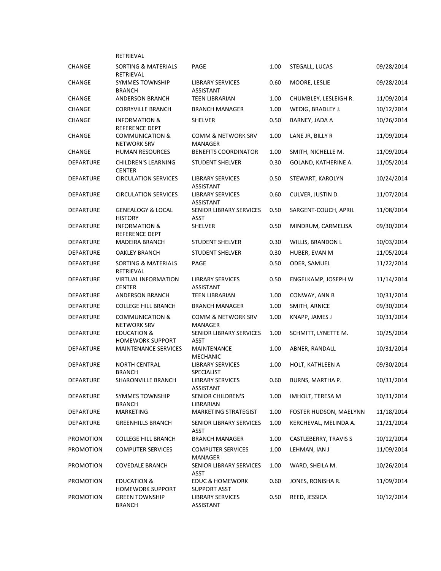|                  | RETRIEVAL                                         |                                            |      |                          |            |
|------------------|---------------------------------------------------|--------------------------------------------|------|--------------------------|------------|
| <b>CHANGE</b>    | SORTING & MATERIALS<br>RETRIEVAL                  | PAGE                                       | 1.00 | STEGALL, LUCAS           | 09/28/2014 |
| <b>CHANGE</b>    | <b>SYMMES TOWNSHIP</b><br><b>BRANCH</b>           | LIBRARY SERVICES<br>ASSISTANT              | 0.60 | MOORE, LESLIE            | 09/28/2014 |
| CHANGE           | <b>ANDERSON BRANCH</b>                            | <b>TEEN LIBRARIAN</b>                      | 1.00 | CHUMBLEY, LESLEIGH R.    | 11/09/2014 |
| <b>CHANGE</b>    | <b>CORRYVILLE BRANCH</b>                          | BRANCH MANAGER                             | 1.00 | WEDIG, BRADLEY J.        | 10/12/2014 |
| CHANGE           | INFORMATION &<br>REFERENCE DEPT                   | SHELVER                                    | 0.50 | BARNEY, JADA A           | 10/26/2014 |
| <b>CHANGE</b>    | <b>COMMUNICATION &amp;</b><br><b>NETWORK SRV</b>  | COMM & NETWORK SRV<br>MANAGER              | 1.00 | LANE JR, BILLY R         | 11/09/2014 |
| <b>CHANGE</b>    | <b>HUMAN RESOURCES</b>                            | <b>BENEFITS COORDINATOR</b>                | 1.00 | SMITH, NICHELLE M.       | 11/09/2014 |
| <b>DEPARTURE</b> | <b>CHILDREN'S LEARNING</b><br><b>CENTER</b>       | <b>STUDENT SHELVER</b>                     | 0.30 | GOLAND, KATHERINE A.     | 11/05/2014 |
| <b>DEPARTURE</b> | <b>CIRCULATION SERVICES</b>                       | LIBRARY SERVICES<br>ASSISTANT              | 0.50 | STEWART, KAROLYN         | 10/24/2014 |
| <b>DEPARTURE</b> | <b>CIRCULATION SERVICES</b>                       | <b>LIBRARY SERVICES</b><br>ASSISTANT       | 0.60 | CULVER, JUSTIN D.        | 11/07/2014 |
| DEPARTURE        | <b>GENEALOGY &amp; LOCAL</b><br><b>HISTORY</b>    | SENIOR LIBRARY SERVICES<br><b>ASST</b>     | 0.50 | SARGENT-COUCH, APRIL     | 11/08/2014 |
| DEPARTURE        | <b>INFORMATION &amp;</b><br>REFERENCE DEPT        | SHELVER                                    | 0.50 | MINDRUM, CARMELISA       | 09/30/2014 |
| <b>DEPARTURE</b> | <b>MADEIRA BRANCH</b>                             | <b>STUDENT SHELVER</b>                     | 0.30 | <b>WILLIS, BRANDON L</b> | 10/03/2014 |
| <b>DEPARTURE</b> | <b>OAKLEY BRANCH</b>                              | <b>STUDENT SHELVER</b>                     | 0.30 | HUBER, EVAN M            | 11/05/2014 |
| <b>DEPARTURE</b> | SORTING & MATERIALS<br>RETRIEVAL                  | PAGE                                       | 0.50 | ODER, SAMUEL             | 11/22/2014 |
| DEPARTURE        | <b>VIRTUAL INFORMATION</b><br><b>CENTER</b>       | <b>LIBRARY SERVICES</b><br>ASSISTANT       | 0.50 | ENGELKAMP, JOSEPH W      | 11/14/2014 |
| <b>DEPARTURE</b> | ANDERSON BRANCH                                   | <b>TEEN LIBRARIAN</b>                      | 1.00 | CONWAY, ANN B            | 10/31/2014 |
| <b>DEPARTURE</b> | <b>COLLEGE HILL BRANCH</b>                        | <b>BRANCH MANAGER</b>                      | 1.00 | SMITH, ARNICE            | 09/30/2014 |
| <b>DEPARTURE</b> | <b>COMMUNICATION &amp;</b><br><b>NETWORK SRV</b>  | COMM & NETWORK SRV<br>MANAGER              | 1.00 | KNAPP, JAMES J           | 10/31/2014 |
| <b>DEPARTURE</b> | <b>EDUCATION &amp;</b><br><b>HOMEWORK SUPPORT</b> | SENIOR LIBRARY SERVICES<br><b>ASST</b>     | 1.00 | SCHMITT, LYNETTE M.      | 10/25/2014 |
| <b>DEPARTURE</b> | <b>MAINTENANCE SERVICES</b>                       | MAINTENANCE<br><b>MECHANIC</b>             | 1.00 | ABNER, RANDALL           | 10/31/2014 |
| <b>DEPARTURE</b> | <b>NORTH CENTRAL</b><br><b>BRANCH</b>             | <b>LIBRARY SERVICES</b><br>SPECIALIST      | 1.00 | HOLT, KATHLEEN A         | 09/30/2014 |
| <b>DEPARTURE</b> | SHARONVILLE BRANCH                                | <b>LIBRARY SERVICES</b><br>ASSISTANT       | 0.60 | BURNS, MARTHA P.         | 10/31/2014 |
| DEPARTURE        | SYMMES TOWNSHIP<br><b>BRANCH</b>                  | SENIOR CHILDREN'S<br>LIBRARIAN             | 1.00 | IMHOLT, TERESA M         | 10/31/2014 |
| DEPARTURE        | MARKETING                                         | MARKETING STRATEGIST                       | 1.00 | FOSTER HUDSON, MAELYNN   | 11/18/2014 |
| DEPARTURE        | <b>GREENHILLS BRANCH</b>                          | SENIOR LIBRARY SERVICES<br>ASST            | 1.00 | KERCHEVAL, MELINDA A.    | 11/21/2014 |
| <b>PROMOTION</b> | <b>COLLEGE HILL BRANCH</b>                        | <b>BRANCH MANAGER</b>                      | 1.00 | CASTLEBERRY, TRAVIS S    | 10/12/2014 |
| <b>PROMOTION</b> | <b>COMPUTER SERVICES</b>                          | <b>COMPUTER SERVICES</b><br>MANAGER        | 1.00 | LEHMAN, IAN J            | 11/09/2014 |
| <b>PROMOTION</b> | <b>COVEDALE BRANCH</b>                            | SENIOR LIBRARY SERVICES<br>ASST            | 1.00 | WARD, SHEILA M.          | 10/26/2014 |
| <b>PROMOTION</b> | EDUCATION &<br><b>HOMEWORK SUPPORT</b>            | <b>EDUC &amp; HOMEWORK</b><br>SUPPORT ASST | 0.60 | JONES, RONISHA R.        | 11/09/2014 |
| <b>PROMOTION</b> | <b>GREEN TOWNSHIP</b><br><b>BRANCH</b>            | LIBRARY SERVICES<br>ASSISTANT              | 0.50 | REED, JESSICA            | 10/12/2014 |